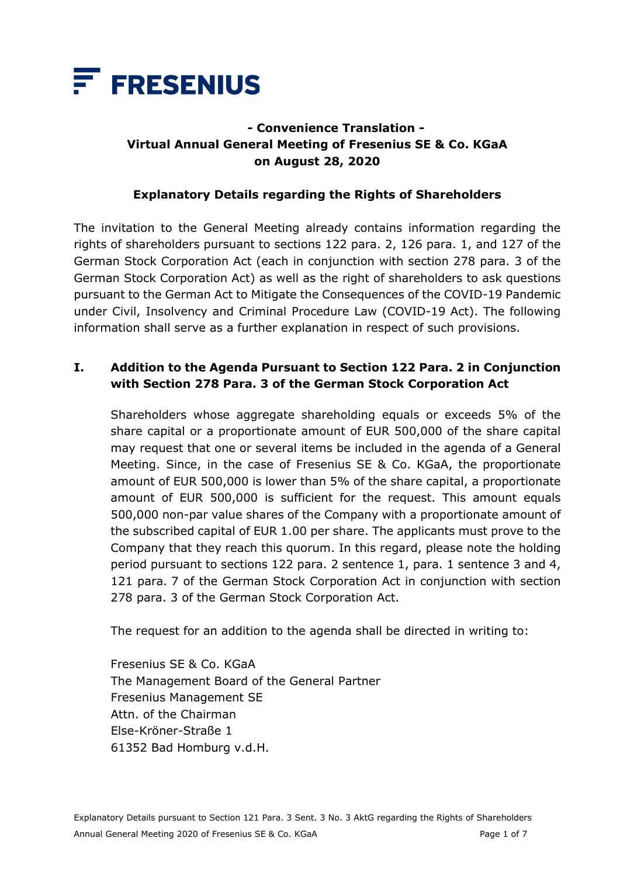

# **- Convenience Translation - Virtual Annual General Meeting of Fresenius SE & Co. KGaA on August 28, 2020**

#### **Explanatory Details regarding the Rights of Shareholders**

The invitation to the General Meeting already contains information regarding the rights of shareholders pursuant to sections 122 para. 2, 126 para. 1, and 127 of the German Stock Corporation Act (each in conjunction with section 278 para. 3 of the German Stock Corporation Act) as well as the right of shareholders to ask questions pursuant to the German Act to Mitigate the Consequences of the COVID-19 Pandemic under Civil, Insolvency and Criminal Procedure Law (COVID-19 Act). The following information shall serve as a further explanation in respect of such provisions.

## **I. Addition to the Agenda Pursuant to Section 122 Para. 2 in Conjunction with Section 278 Para. 3 of the German Stock Corporation Act**

Shareholders whose aggregate shareholding equals or exceeds 5% of the share capital or a proportionate amount of EUR 500,000 of the share capital may request that one or several items be included in the agenda of a General Meeting. Since, in the case of Fresenius SE & Co. KGaA, the proportionate amount of EUR 500,000 is lower than 5% of the share capital, a proportionate amount of EUR 500,000 is sufficient for the request. This amount equals 500,000 non-par value shares of the Company with a proportionate amount of the subscribed capital of EUR 1.00 per share. The applicants must prove to the Company that they reach this quorum. In this regard, please note the holding period pursuant to sections 122 para. 2 sentence 1, para. 1 sentence 3 and 4, 121 para. 7 of the German Stock Corporation Act in conjunction with section 278 para. 3 of the German Stock Corporation Act.

The request for an addition to the agenda shall be directed in writing to:

Fresenius SE & Co. KGaA The Management Board of the General Partner Fresenius Management SE Attn. of the Chairman Else-Kröner-Straße 1 61352 Bad Homburg v.d.H.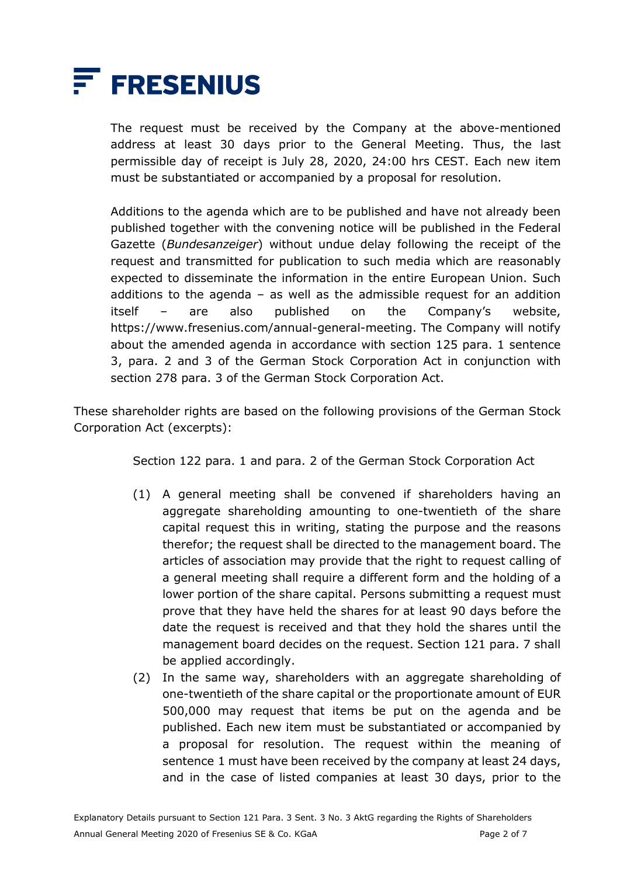

The request must be received by the Company at the above-mentioned address at least 30 days prior to the General Meeting. Thus, the last permissible day of receipt is July 28, 2020, 24:00 hrs CEST. Each new item must be substantiated or accompanied by a proposal for resolution.

Additions to the agenda which are to be published and have not already been published together with the convening notice will be published in the Federal Gazette (*Bundesanzeiger*) without undue delay following the receipt of the request and transmitted for publication to such media which are reasonably expected to disseminate the information in the entire European Union. Such additions to the agenda  $-$  as well as the admissible request for an addition itself – are also published on the Company's website, https://www.fresenius.com/annual-general-meeting. The Company will notify about the amended agenda in accordance with section 125 para. 1 sentence 3, para. 2 and 3 of the German Stock Corporation Act in conjunction with section 278 para. 3 of the German Stock Corporation Act.

These shareholder rights are based on the following provisions of the German Stock Corporation Act (excerpts):

Section 122 para. 1 and para. 2 of the German Stock Corporation Act

- (1) A general meeting shall be convened if shareholders having an aggregate shareholding amounting to one-twentieth of the share capital request this in writing, stating the purpose and the reasons therefor; the request shall be directed to the management board. The articles of association may provide that the right to request calling of a general meeting shall require a different form and the holding of a lower portion of the share capital. Persons submitting a request must prove that they have held the shares for at least 90 days before the date the request is received and that they hold the shares until the management board decides on the request. Section 121 para. 7 shall be applied accordingly.
- (2) In the same way, shareholders with an aggregate shareholding of one-twentieth of the share capital or the proportionate amount of EUR 500,000 may request that items be put on the agenda and be published. Each new item must be substantiated or accompanied by a proposal for resolution. The request within the meaning of sentence 1 must have been received by the company at least 24 days, and in the case of listed companies at least 30 days, prior to the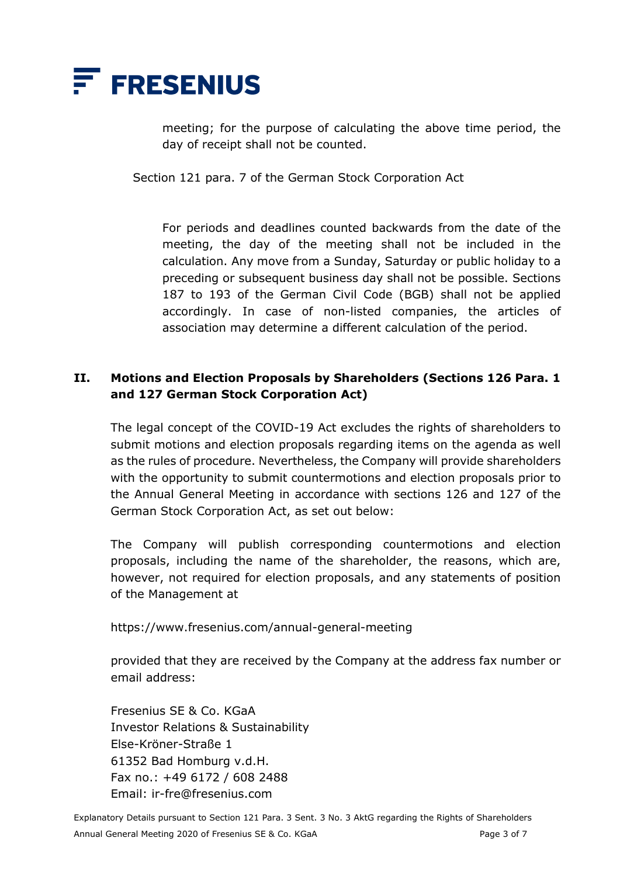

meeting; for the purpose of calculating the above time period, the day of receipt shall not be counted.

Section 121 para. 7 of the German Stock Corporation Act

For periods and deadlines counted backwards from the date of the meeting, the day of the meeting shall not be included in the calculation. Any move from a Sunday, Saturday or public holiday to a preceding or subsequent business day shall not be possible. Sections 187 to 193 of the German Civil Code (BGB) shall not be applied accordingly. In case of non-listed companies, the articles of association may determine a different calculation of the period.

### **II. Motions and Election Proposals by Shareholders (Sections 126 Para. 1 and 127 German Stock Corporation Act)**

The legal concept of the COVID-19 Act excludes the rights of shareholders to submit motions and election proposals regarding items on the agenda as well as the rules of procedure. Nevertheless, the Company will provide shareholders with the opportunity to submit countermotions and election proposals prior to the Annual General Meeting in accordance with sections 126 and 127 of the German Stock Corporation Act, as set out below:

The Company will publish corresponding countermotions and election proposals, including the name of the shareholder, the reasons, which are, however, not required for election proposals, and any statements of position of the Management at

https://www.fresenius.com/annual-general-meeting

provided that they are received by the Company at the address fax number or email address:

Fresenius SE & Co. KGaA Investor Relations & Sustainability Else-Kröner-Straße 1 61352 Bad Homburg v.d.H. Fax no.: +49 6172 / 608 2488 Email: ir-fre@fresenius.com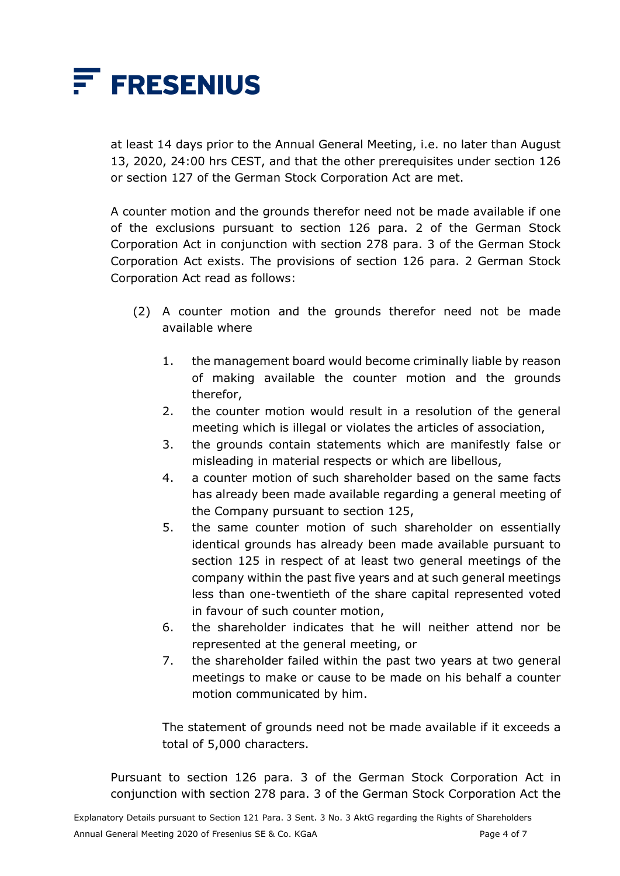

at least 14 days prior to the Annual General Meeting, i.e. no later than August 13, 2020, 24:00 hrs CEST, and that the other prerequisites under section 126 or section 127 of the German Stock Corporation Act are met.

A counter motion and the grounds therefor need not be made available if one of the exclusions pursuant to section 126 para. 2 of the German Stock Corporation Act in conjunction with section 278 para. 3 of the German Stock Corporation Act exists. The provisions of section 126 para. 2 German Stock Corporation Act read as follows:

- (2) A counter motion and the grounds therefor need not be made available where
	- 1. the management board would become criminally liable by reason of making available the counter motion and the grounds therefor,
	- 2. the counter motion would result in a resolution of the general meeting which is illegal or violates the articles of association,
	- 3. the grounds contain statements which are manifestly false or misleading in material respects or which are libellous,
	- 4. a counter motion of such shareholder based on the same facts has already been made available regarding a general meeting of the Company pursuant to section 125,
	- 5. the same counter motion of such shareholder on essentially identical grounds has already been made available pursuant to section 125 in respect of at least two general meetings of the company within the past five years and at such general meetings less than one-twentieth of the share capital represented voted in favour of such counter motion,
	- 6. the shareholder indicates that he will neither attend nor be represented at the general meeting, or
	- 7. the shareholder failed within the past two years at two general meetings to make or cause to be made on his behalf a counter motion communicated by him.

The statement of grounds need not be made available if it exceeds a total of 5,000 characters.

Pursuant to section 126 para. 3 of the German Stock Corporation Act in conjunction with section 278 para. 3 of the German Stock Corporation Act the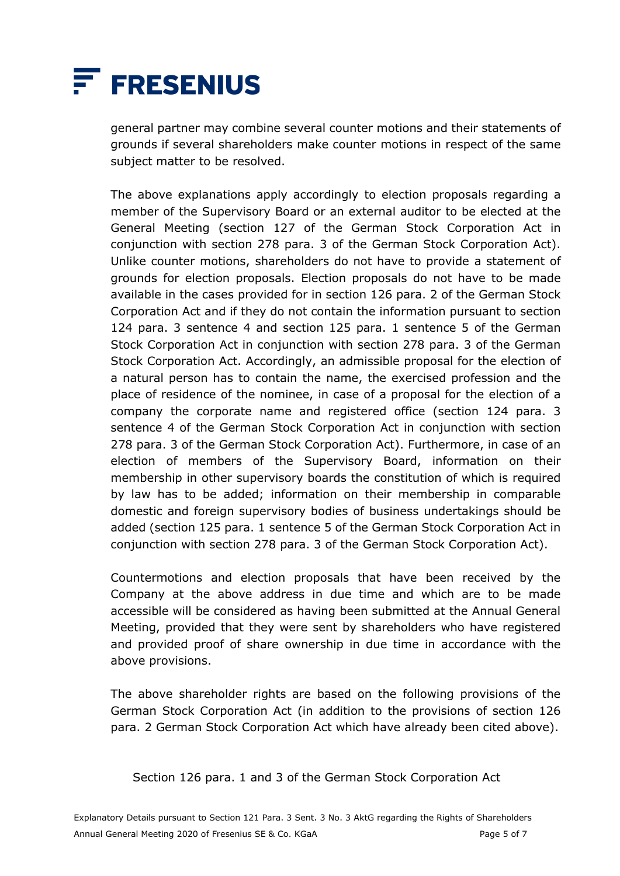

general partner may combine several counter motions and their statements of grounds if several shareholders make counter motions in respect of the same subject matter to be resolved.

The above explanations apply accordingly to election proposals regarding a member of the Supervisory Board or an external auditor to be elected at the General Meeting (section 127 of the German Stock Corporation Act in conjunction with section 278 para. 3 of the German Stock Corporation Act). Unlike counter motions, shareholders do not have to provide a statement of grounds for election proposals. Election proposals do not have to be made available in the cases provided for in section 126 para. 2 of the German Stock Corporation Act and if they do not contain the information pursuant to section 124 para. 3 sentence 4 and section 125 para. 1 sentence 5 of the German Stock Corporation Act in conjunction with section 278 para. 3 of the German Stock Corporation Act. Accordingly, an admissible proposal for the election of a natural person has to contain the name, the exercised profession and the place of residence of the nominee, in case of a proposal for the election of a company the corporate name and registered office (section 124 para. 3 sentence 4 of the German Stock Corporation Act in conjunction with section 278 para. 3 of the German Stock Corporation Act). Furthermore, in case of an election of members of the Supervisory Board, information on their membership in other supervisory boards the constitution of which is required by law has to be added; information on their membership in comparable domestic and foreign supervisory bodies of business undertakings should be added (section 125 para. 1 sentence 5 of the German Stock Corporation Act in conjunction with section 278 para. 3 of the German Stock Corporation Act).

Countermotions and election proposals that have been received by the Company at the above address in due time and which are to be made accessible will be considered as having been submitted at the Annual General Meeting, provided that they were sent by shareholders who have registered and provided proof of share ownership in due time in accordance with the above provisions.

The above shareholder rights are based on the following provisions of the German Stock Corporation Act (in addition to the provisions of section 126 para. 2 German Stock Corporation Act which have already been cited above).

Section 126 para. 1 and 3 of the German Stock Corporation Act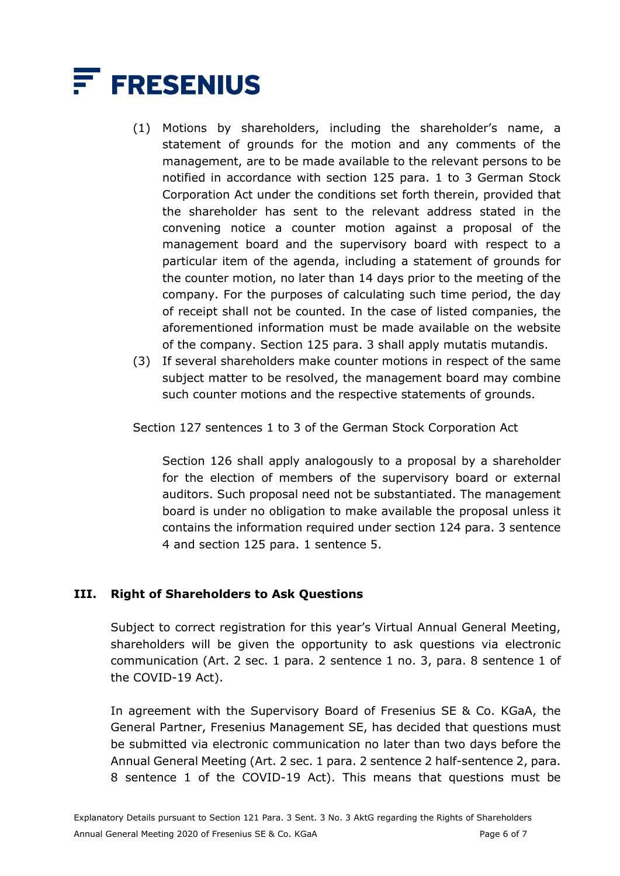

- (1) Motions by shareholders, including the shareholder's name, a statement of grounds for the motion and any comments of the management, are to be made available to the relevant persons to be notified in accordance with section 125 para. 1 to 3 German Stock Corporation Act under the conditions set forth therein, provided that the shareholder has sent to the relevant address stated in the convening notice a counter motion against a proposal of the management board and the supervisory board with respect to a particular item of the agenda, including a statement of grounds for the counter motion, no later than 14 days prior to the meeting of the company. For the purposes of calculating such time period, the day of receipt shall not be counted. In the case of listed companies, the aforementioned information must be made available on the website of the company. Section 125 para. 3 shall apply mutatis mutandis.
- (3) If several shareholders make counter motions in respect of the same subject matter to be resolved, the management board may combine such counter motions and the respective statements of grounds.

Section 127 sentences 1 to 3 of the German Stock Corporation Act

Section 126 shall apply analogously to a proposal by a shareholder for the election of members of the supervisory board or external auditors. Such proposal need not be substantiated. The management board is under no obligation to make available the proposal unless it contains the information required under section 124 para. 3 sentence 4 and section 125 para. 1 sentence 5.

#### **III. Right of Shareholders to Ask Questions**

Subject to correct registration for this year's Virtual Annual General Meeting, shareholders will be given the opportunity to ask questions via electronic communication (Art. 2 sec. 1 para. 2 sentence 1 no. 3, para. 8 sentence 1 of the COVID-19 Act).

In agreement with the Supervisory Board of Fresenius SE & Co. KGaA, the General Partner, Fresenius Management SE, has decided that questions must be submitted via electronic communication no later than two days before the Annual General Meeting (Art. 2 sec. 1 para. 2 sentence 2 half-sentence 2, para. 8 sentence 1 of the COVID-19 Act). This means that questions must be